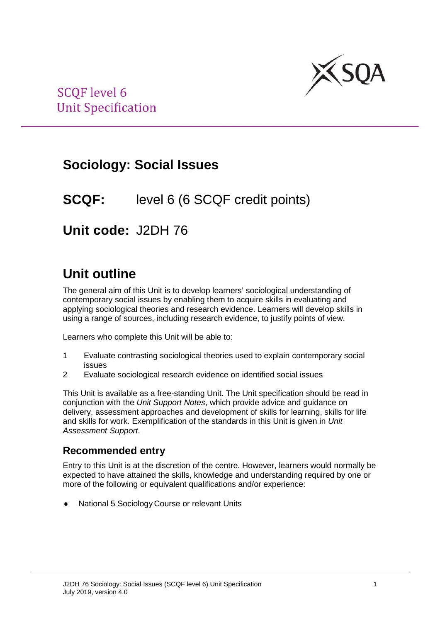

# **Sociology: Social Issues**

# **SCQF:** level 6 (6 SCQF credit points)

# **Unit code:** J2DH 76

# **Unit outline**

The general aim of this Unit is to develop learners' sociological understanding of contemporary social issues by enabling them to acquire skills in evaluating and applying sociological theories and research evidence. Learners will develop skills in using a range of sources, including research evidence, to justify points of view.

Learners who complete this Unit will be able to:

- 1 Evaluate contrasting sociological theories used to explain contemporary social issues
- 2 Evaluate sociological research evidence on identified social issues

This Unit is available as a free-standing Unit. The Unit specification should be read in conjunction with the *Unit Support Notes*, which provide advice and guidance on delivery, assessment approaches and development of skills for learning, skills for life and skills for work. Exemplification of the standards in this Unit is given in *Unit Assessment Support*.

### **Recommended entry**

Entry to this Unit is at the discretion of the centre. However, learners would normally be expected to have attained the skills, knowledge and understanding required by one or more of the following or equivalent qualifications and/or experience:

National 5 Sociology Course or relevant Units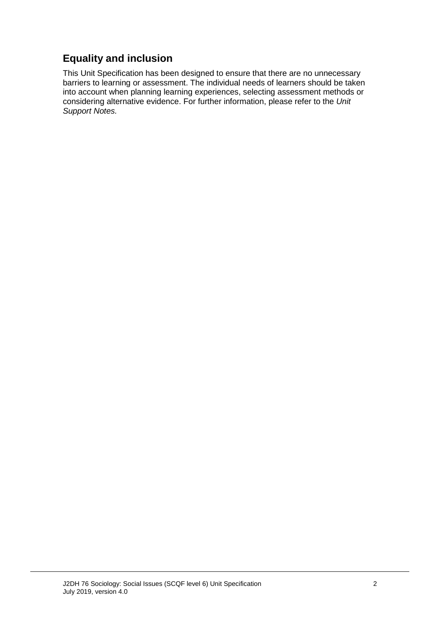## **Equality and inclusion**

This Unit Specification has been designed to ensure that there are no unnecessary barriers to learning or assessment. The individual needs of learners should be taken into account when planning learning experiences, selecting assessment methods or considering alternative evidence. For further information, please refer to the *Unit Support Notes.*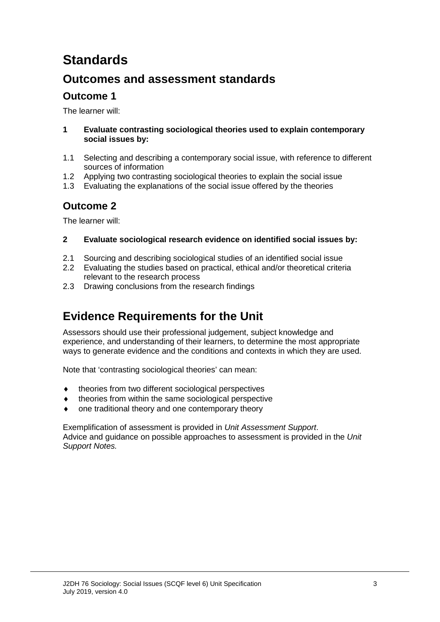# **Standards**

## **Outcomes and assessment standards**

## **Outcome 1**

The learner will:

- **1 Evaluate contrasting sociological theories used to explain contemporary social issues by:**
- 1.1 Selecting and describing a contemporary social issue, with reference to different sources of information
- 1.2 Applying two contrasting sociological theories to explain the social issue
- 1.3 Evaluating the explanations of the social issue offered by the theories

## **Outcome 2**

The learner will:

### **2 Evaluate sociological research evidence on identified social issues by:**

- 2.1 Sourcing and describing sociological studies of an identified social issue
- 2.2 Evaluating the studies based on practical, ethical and/or theoretical criteria relevant to the research process
- 2.3 Drawing conclusions from the research findings

# **Evidence Requirements for the Unit**

Assessors should use their professional judgement, subject knowledge and experience, and understanding of their learners, to determine the most appropriate ways to generate evidence and the conditions and contexts in which they are used.

Note that 'contrasting sociological theories' can mean:

- ♦ theories from two different sociological perspectives
- theories from within the same sociological perspective
- one traditional theory and one contemporary theory

Exemplification of assessment is provided in *Unit Assessment Support*. Advice and guidance on possible approaches to assessment is provided in the *Unit Support Notes.*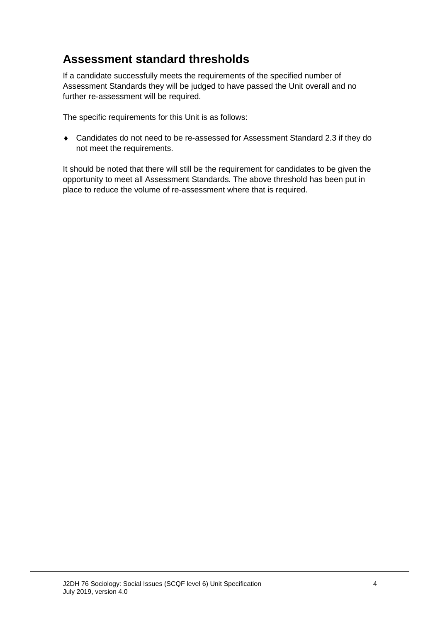# **Assessment standard thresholds**

If a candidate successfully meets the requirements of the specified number of Assessment Standards they will be judged to have passed the Unit overall and no further re-assessment will be required.

The specific requirements for this Unit is as follows:

♦ Candidates do not need to be re-assessed for Assessment Standard 2.3 if they do not meet the requirements.

It should be noted that there will still be the requirement for candidates to be given the opportunity to meet all Assessment Standards. The above threshold has been put in place to reduce the volume of re-assessment where that is required.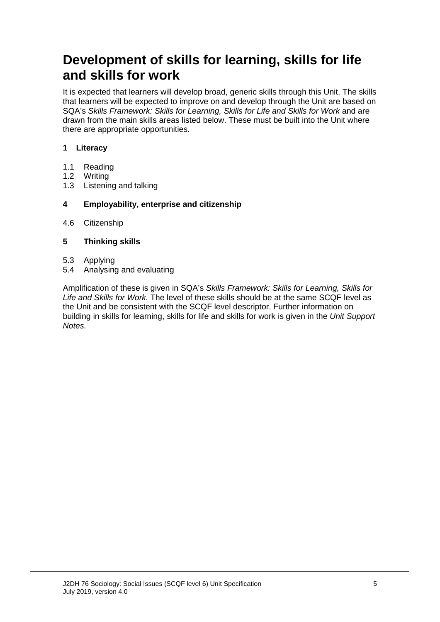# **Development of skills for learning, skills for life and skills for work**

It is expected that learners will develop broad, generic skills through this Unit. The skills that learners will be expected to improve on and develop through the Unit are based on SQA's *Skills Framework: Skills for Learning, Skills for Life and Skills for Work* and are drawn from the main skills areas listed below. These must be built into the Unit where there are appropriate opportunities.

### **1 Literacy**

- 1.1 Reading<br>1.2 Writing
- 1.2 Writing<br>1.3 Listenin
- Listening and talking

### **4 Employability, enterprise and citizenship**

4.6 Citizenship

### **5 Thinking skills**

- 5.3 Applying
- 5.4 Analysing and evaluating

Amplification of these is given in SQA's *Skills Framework: Skills for Learning, Skills for Life and Skills for Work.* The level of these skills should be at the same SCQF level as the Unit and be consistent with the SCQF level descriptor. Further information on building in skills for learning, skills for life and skills for work is given in the *Unit Support Notes.*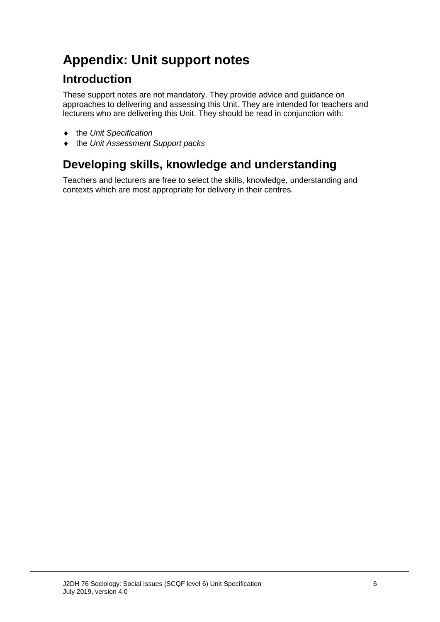# **Appendix: Unit support notes**

# **Introduction**

These support notes are not mandatory. They provide advice and guidance on approaches to delivering and assessing this Unit. They are intended for teachers and lecturers who are delivering this Unit. They should be read in conjunction with:

- ♦ the *Unit Specification*
- ♦ the *Unit Assessment Support packs*

# **Developing skills, knowledge and understanding**

Teachers and lecturers are free to select the skills, knowledge, understanding and contexts which are most appropriate for delivery in their centres.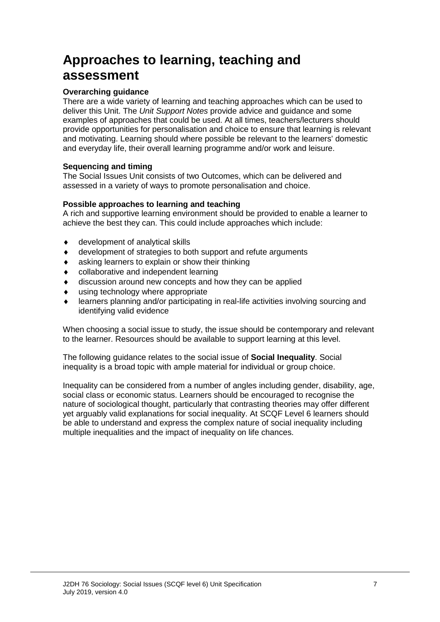# **Approaches to learning, teaching and assessment**

### **Overarching guidance**

There are a wide variety of learning and teaching approaches which can be used to deliver this Unit. The *Unit Support Notes* provide advice and guidance and some examples of approaches that could be used. At all times, teachers/lecturers should provide opportunities for personalisation and choice to ensure that learning is relevant and motivating. Learning should where possible be relevant to the learners' domestic and everyday life, their overall learning programme and/or work and leisure.

### **Sequencing and timing**

The Social Issues Unit consists of two Outcomes, which can be delivered and assessed in a variety of ways to promote personalisation and choice.

#### **Possible approaches to learning and teaching**

A rich and supportive learning environment should be provided to enable a learner to achieve the best they can. This could include approaches which include:

- ♦ development of analytical skills
- ♦ development of strategies to both support and refute arguments
- ♦ asking learners to explain or show their thinking
- ♦ collaborative and independent learning
- ♦ discussion around new concepts and how they can be applied
- ♦ using technology where appropriate
- ♦ learners planning and/or participating in real-life activities involving sourcing and identifying valid evidence

When choosing a social issue to study, the issue should be contemporary and relevant to the learner. Resources should be available to support learning at this level.

The following guidance relates to the social issue of **Social Inequality**. Social inequality is a broad topic with ample material for individual or group choice.

Inequality can be considered from a number of angles including gender, disability, age, social class or economic status. Learners should be encouraged to recognise the nature of sociological thought, particularly that contrasting theories may offer different yet arguably valid explanations for social inequality. At SCQF Level 6 learners should be able to understand and express the complex nature of social inequality including multiple inequalities and the impact of inequality on life chances.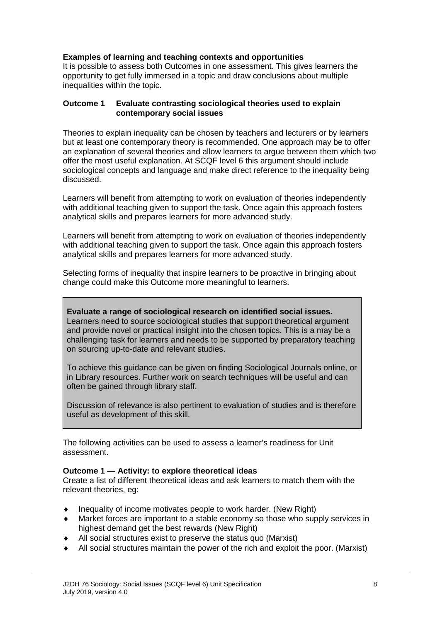### **Examples of learning and teaching contexts and opportunities**

It is possible to assess both Outcomes in one assessment. This gives learners the opportunity to get fully immersed in a topic and draw conclusions about multiple inequalities within the topic.

#### **Outcome 1 Evaluate contrasting sociological theories used to explain contemporary social issues**

Theories to explain inequality can be chosen by teachers and lecturers or by learners but at least one contemporary theory is recommended. One approach may be to offer an explanation of several theories and allow learners to argue between them which two offer the most useful explanation. At SCQF level 6 this argument should include sociological concepts and language and make direct reference to the inequality being discussed.

Learners will benefit from attempting to work on evaluation of theories independently with additional teaching given to support the task. Once again this approach fosters analytical skills and prepares learners for more advanced study.

Learners will benefit from attempting to work on evaluation of theories independently with additional teaching given to support the task. Once again this approach fosters analytical skills and prepares learners for more advanced study.

Selecting forms of inequality that inspire learners to be proactive in bringing about change could make this Outcome more meaningful to learners.

**Evaluate a range of sociological research on identified social issues.** Learners need to source sociological studies that support theoretical argument and provide novel or practical insight into the chosen topics. This is a may be a challenging task for learners and needs to be supported by preparatory teaching on sourcing up-to-date and relevant studies.

To achieve this guidance can be given on finding Sociological Journals online, or in Library resources. Further work on search techniques will be useful and can often be gained through library staff.

Discussion of relevance is also pertinent to evaluation of studies and is therefore useful as development of this skill.

The following activities can be used to assess a learner's readiness for Unit assessment.

#### **Outcome 1 — Activity: to explore theoretical ideas**

Create a list of different theoretical ideas and ask learners to match them with the relevant theories, eg:

- Inequality of income motivates people to work harder. (New Right)
- ♦ Market forces are important to a stable economy so those who supply services in highest demand get the best rewards (New Right)
- ♦ All social structures exist to preserve the status quo (Marxist)
- All social structures maintain the power of the rich and exploit the poor. (Marxist)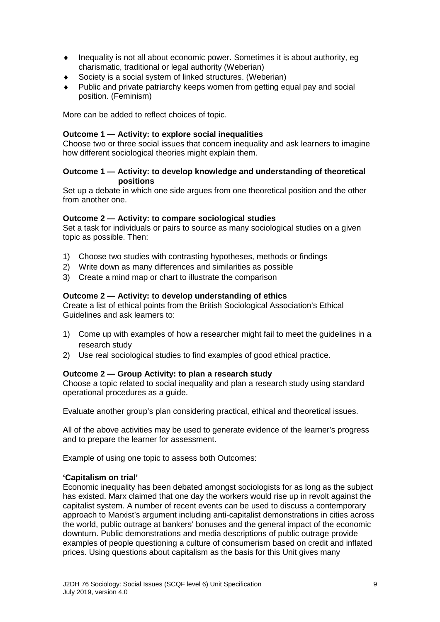- ♦ Inequality is not all about economic power. Sometimes it is about authority, eg charismatic, traditional or legal authority (Weberian)
- ♦ Society is a social system of linked structures. (Weberian)
- Public and private patriarchy keeps women from getting equal pay and social position. (Feminism)

More can be added to reflect choices of topic.

### **Outcome 1 — Activity: to explore social inequalities**

Choose two or three social issues that concern inequality and ask learners to imagine how different sociological theories might explain them.

#### **Outcome 1 — Activity: to develop knowledge and understanding of theoretical positions**

Set up a debate in which one side argues from one theoretical position and the other from another one.

#### **Outcome 2 — Activity: to compare sociological studies**

Set a task for individuals or pairs to source as many sociological studies on a given topic as possible. Then:

- 1) Choose two studies with contrasting hypotheses, methods or findings
- 2) Write down as many differences and similarities as possible
- 3) Create a mind map or chart to illustrate the comparison

### **Outcome 2 — Activity: to develop understanding of ethics**

Create a list of ethical points from the British Sociological Association's Ethical Guidelines and ask learners to:

- 1) Come up with examples of how a researcher might fail to meet the guidelines in a research study
- 2) Use real sociological studies to find examples of good ethical practice.

#### **Outcome 2 — Group Activity: to plan a research study**

Choose a topic related to social inequality and plan a research study using standard operational procedures as a guide.

Evaluate another group's plan considering practical, ethical and theoretical issues.

All of the above activities may be used to generate evidence of the learner's progress and to prepare the learner for assessment.

Example of using one topic to assess both Outcomes:

#### **'Capitalism on trial'**

Economic inequality has been debated amongst sociologists for as long as the subject has existed. Marx claimed that one day the workers would rise up in revolt against the capitalist system. A number of recent events can be used to discuss a contemporary approach to Marxist's argument including anti-capitalist demonstrations in cities across the world, public outrage at bankers' bonuses and the general impact of the economic downturn. Public demonstrations and media descriptions of public outrage provide examples of people questioning a culture of consumerism based on credit and inflated prices. Using questions about capitalism as the basis for this Unit gives many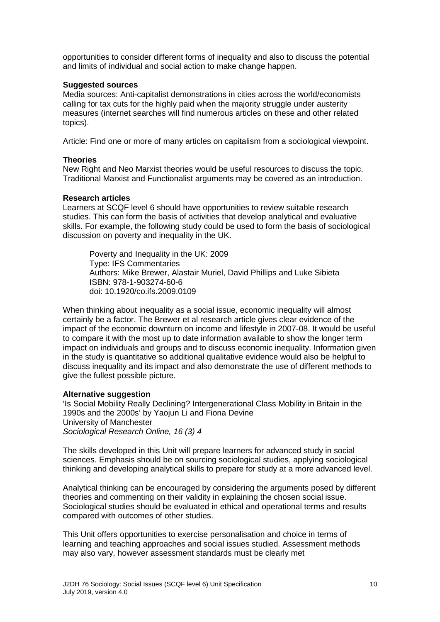opportunities to consider different forms of inequality and also to discuss the potential and limits of individual and social action to make change happen.

### **Suggested sources**

Media sources: Anti-capitalist demonstrations in cities across the world/economists calling for tax cuts for the highly paid when the majority struggle under austerity measures (internet searches will find numerous articles on these and other related topics).

Article: Find one or more of many articles on capitalism from a sociological viewpoint.

### **Theories**

New Right and Neo Marxist theories would be useful resources to discuss the topic. Traditional Marxist and Functionalist arguments may be covered as an introduction.

#### **Research articles**

Learners at SCQF level 6 should have opportunities to review suitable research studies. This can form the basis of activities that develop analytical and evaluative skills. For example, the following study could be used to form the basis of sociological discussion on poverty and inequality in the UK.

Poverty and Inequality in the UK: 2009 Type: IFS Commentaries Authors: [Mike Brewer,](http://www.ifs.org.uk/people/profile/9) Alastair Muriel, [David Phillips](http://www.ifs.org.uk/people/profile/283) and [Luke Sibieta](http://www.ifs.org.uk/people/profile/208) ISBN: 978-1-903274-60-6 doi: [10.1920/co.ifs.2009.0109](http://dx.medra.org/10.1920/co.ifs.2009.0109)

When thinking about inequality as a social issue, economic inequality will almost certainly be a factor. The Brewer et al research article gives clear evidence of the impact of the economic downturn on income and lifestyle in 2007-08. It would be useful to compare it with the most up to date information available to show the longer term impact on individuals and groups and to discuss economic inequality. Information given in the study is quantitative so additional qualitative evidence would also be helpful to discuss inequality and its impact and also demonstrate the use of different methods to give the fullest possible picture.

### **Alternative suggestion**

'Is Social Mobility Really Declining? Intergenerational Class Mobility in Britain in the 1990s and the 2000s' by Yaojun Li and Fiona Devine University of Manchester *Sociological Research Online, 16 (3) 4*

The skills developed in this Unit will prepare learners for advanced study in social sciences. Emphasis should be on sourcing sociological studies, applying sociological thinking and developing analytical skills to prepare for study at a more advanced level.

Analytical thinking can be encouraged by considering the arguments posed by different theories and commenting on their validity in explaining the chosen social issue. Sociological studies should be evaluated in ethical and operational terms and results compared with outcomes of other studies.

This Unit offers opportunities to exercise personalisation and choice in terms of learning and teaching approaches and social issues studied. Assessment methods may also vary, however assessment standards must be clearly met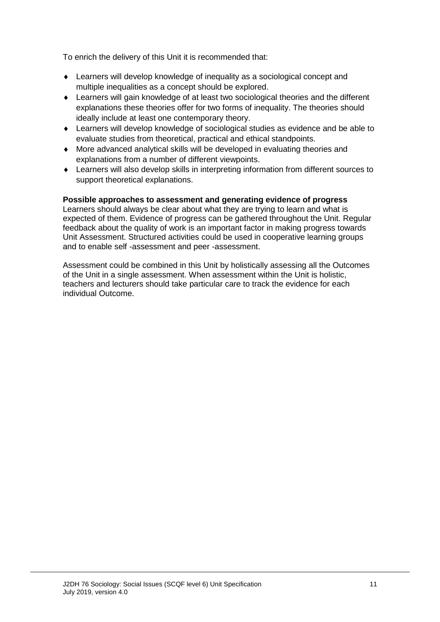To enrich the delivery of this Unit it is recommended that:

- ♦ Learners will develop knowledge of inequality as a sociological concept and multiple inequalities as a concept should be explored.
- ♦ Learners will gain knowledge of at least two sociological theories and the different explanations these theories offer for two forms of inequality. The theories should ideally include at least one contemporary theory.
- ♦ Learners will develop knowledge of sociological studies as evidence and be able to evaluate studies from theoretical, practical and ethical standpoints.
- ♦ More advanced analytical skills will be developed in evaluating theories and explanations from a number of different viewpoints.
- ♦ Learners will also develop skills in interpreting information from different sources to support theoretical explanations.

### **Possible approaches to assessment and generating evidence of progress**

Learners should always be clear about what they are trying to learn and what is expected of them. Evidence of progress can be gathered throughout the Unit. Regular feedback about the quality of work is an important factor in making progress towards Unit Assessment. Structured activities could be used in cooperative learning groups and to enable self -assessment and peer -assessment.

Assessment could be combined in this Unit by holistically assessing all the Outcomes of the Unit in a single assessment. When assessment within the Unit is holistic, teachers and lecturers should take particular care to track the evidence for each individual Outcome.